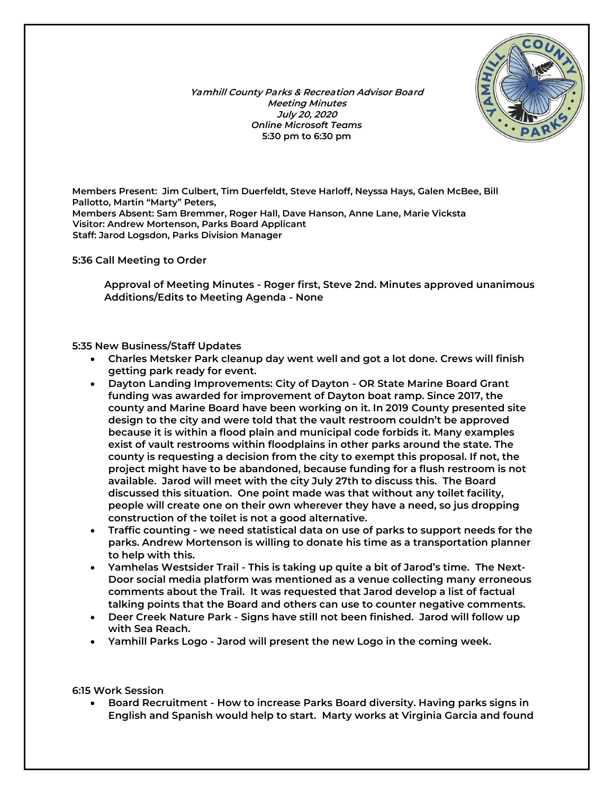*Yamhill County Parks & Recreation Advisor Board Meeting Minutes July 20, 2020 Online Microsoft Teams 5:30 pm to 6:30 pm*



*Members Present:* **Jim Culbert, Tim Duerfeldt, Steve Harloff, Neyssa Hays, Galen McBee, Bill Pallotto, Martin "Marty" Peters,** *Members Absent:* **Sam Bremmer, Roger Hall, Dave Hanson, Anne Lane, Marie Vicksta**  *Visitor:* **Andrew Mortenson, Parks Board Applicant**  *Staff:* **Jarod Logsdon, Parks Division Manager**

*5:36 Call Meeting to Order*

**Approval of Meeting Minutes - Roger first, Steve 2nd. Minutes approved unanimous Additions/Edits to Meeting Agenda - None**

*5:35 New Business/Staff Updates*

- **Charles Metsker Park cleanup day went well and got a lot done. Crews will finish getting park ready for event.**
- **Dayton Landing Improvements: City of Dayton - OR State Marine Board Grant funding was awarded for improvement of Dayton boat ramp. Since 2017, the county and Marine Board have been working on it. In 2019 County presented site design to the city and were told that the vault restroom couldn't be approved because it is within a flood plain and municipal code forbids it. Many examples exist of vault restrooms within floodplains in other parks around the state. The county is requesting a decision from the city to exempt this proposal. If not, the project might have to be abandoned, because funding for a flush restroom is not available. Jarod will meet with the city July 27th to discuss this. The Board discussed this situation. One point made was that without any toilet facility, people will create one on their own wherever they have a need, so jus dropping construction of the toilet is not a good alternative.**
- **Traffic counting - we need statistical data on use of parks to support needs for the parks. Andrew Mortenson is willing to donate his time as a transportation planner to help with this.**
- **Yamhelas Westsider Trail - This is taking up quite a bit of Jarod's time. The Next-Door social media platform was mentioned as a venue collecting many erroneous comments about the Trail. It was requested that Jarod develop a list of factual talking points that the Board and others can use to counter negative comments.**
- **Deer Creek Nature Park - Signs have still not been finished. Jarod will follow up with Sea Reach.**
- **Yamhill Parks Logo - Jarod will present the new Logo in the coming week.**

*6:15 Work Session*

• **Board Recruitment - How to increase Parks Board diversity. Having parks signs in English and Spanish would help to start. Marty works at Virginia Garcia and found**